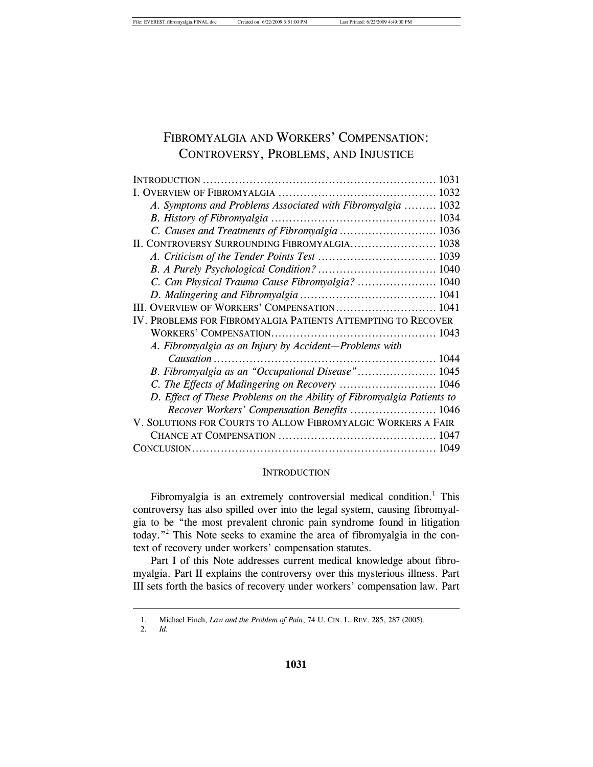# FIBROMYALGIA AND WORKERS' COMPENSATION: CONTROVERSY, PROBLEMS, AND INJUSTICE

| A. Symptoms and Problems Associated with Fibromyalgia  1032            |  |
|------------------------------------------------------------------------|--|
|                                                                        |  |
|                                                                        |  |
| II. CONTROVERSY SURROUNDING FIBROMYALGIA 1038                          |  |
|                                                                        |  |
|                                                                        |  |
| C. Can Physical Trauma Cause Fibromyalgia?  1040                       |  |
|                                                                        |  |
| III. OVERVIEW OF WORKERS' COMPENSATION 1041                            |  |
| IV. PROBLEMS FOR FIBROMYALGIA PATIENTS ATTEMPTING TO RECOVER           |  |
|                                                                        |  |
| A. Fibromyalgia as an Injury by Accident-Problems with                 |  |
|                                                                        |  |
|                                                                        |  |
| C. The Effects of Malingering on Recovery  1046                        |  |
| D. Effect of These Problems on the Ability of Fibromyalgia Patients to |  |
| Recover Workers' Compensation Benefits  1046                           |  |
| V. SOLUTIONS FOR COURTS TO ALLOW FIBROMYALGIC WORKERS A FAIR           |  |
|                                                                        |  |
|                                                                        |  |

#### **INTRODUCTION**

Fibromyalgia is an extremely controversial medical condition.<sup>1</sup> This controversy has also spilled over into the legal system, causing fibromyalgia to be "the most prevalent chronic pain syndrome found in litigation today."2 This Note seeks to examine the area of fibromyalgia in the context of recovery under workers' compensation statutes.

Part I of this Note addresses current medical knowledge about fibromyalgia. Part II explains the controversy over this mysterious illness. Part III sets forth the basics of recovery under workers' compensation law. Part

 <sup>1.</sup> Michael Finch, *Law and the Problem of Pain*, 74 U. CIN. L. REV. 285, 287 (2005).

 <sup>2</sup>*. Id.*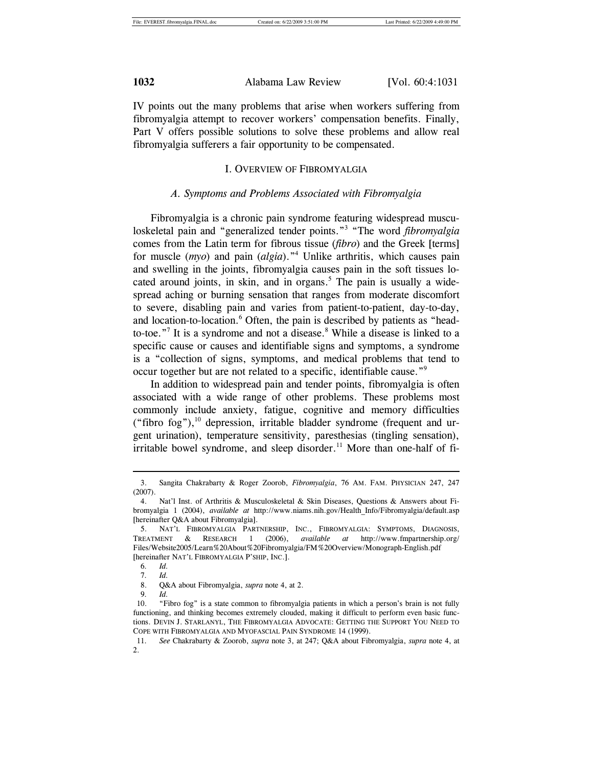IV points out the many problems that arise when workers suffering from fibromyalgia attempt to recover workers' compensation benefits. Finally, Part V offers possible solutions to solve these problems and allow real fibromyalgia sufferers a fair opportunity to be compensated.

### I. OVERVIEW OF FIBROMYALGIA

#### *A. Symptoms and Problems Associated with Fibromyalgia*

Fibromyalgia is a chronic pain syndrome featuring widespread musculoskeletal pain and "generalized tender points."3 "The word *fibromyalgia* comes from the Latin term for fibrous tissue (*fibro*) and the Greek [terms] for muscle (*myo*) and pain (*algia*)."4 Unlike arthritis, which causes pain and swelling in the joints, fibromyalgia causes pain in the soft tissues located around joints, in skin, and in organs.<sup>5</sup> The pain is usually a widespread aching or burning sensation that ranges from moderate discomfort to severe, disabling pain and varies from patient-to-patient, day-to-day, and location-to-location.<sup>6</sup> Often, the pain is described by patients as "headto-toe."<sup>7</sup> It is a syndrome and not a disease. $8$  While a disease is linked to a specific cause or causes and identifiable signs and symptoms, a syndrome is a "collection of signs, symptoms, and medical problems that tend to occur together but are not related to a specific, identifiable cause."<sup>9</sup>

In addition to widespread pain and tender points, fibromyalgia is often associated with a wide range of other problems. These problems most commonly include anxiety, fatigue, cognitive and memory difficulties ("fibro fog"), $^{10}$  depression, irritable bladder syndrome (frequent and urgent urination), temperature sensitivity, paresthesias (tingling sensation), irritable bowel syndrome, and sleep disorder.<sup>11</sup> More than one-half of fi-

 <sup>3.</sup> Sangita Chakrabarty & Roger Zoorob, *Fibromyalgia*, 76 AM. FAM. PHYSICIAN 247, 247 (2007).

 <sup>4.</sup> Nat'l Inst. of Arthritis & Musculoskeletal & Skin Diseases, Questions & Answers about Fibromyalgia 1 (2004), *available at* http://www.niams.nih.gov/Health\_Info/Fibromyalgia/default.asp [hereinafter Q&A about Fibromyalgia].

 <sup>5.</sup> NAT'L FIBROMYALGIA PARTNERSHIP, INC., FIBROMYALGIA: SYMPTOMS, DIAGNOSIS, TREATMENT & RESEARCH 1 (2006), *available at* http://www.fmpartnership.org/ Files/Website2005/Learn%20About%20Fibromyalgia/FM%20Overview/Monograph-English.pdf [hereinafter NAT'L FIBROMYALGIA P'SHIP, INC.].

 <sup>6</sup>*. Id.*

 <sup>7</sup>*. Id.*

 <sup>8.</sup> Q&A about Fibromyalgia, *supra* note 4, at 2.

 <sup>9</sup>*. Id.* 

 <sup>10. &</sup>quot;Fibro fog" is a state common to fibromyalgia patients in which a person's brain is not fully functioning, and thinking becomes extremely clouded, making it difficult to perform even basic functions. DEVIN J. STARLANYL, THE FIBROMYALGIA ADVOCATE: GETTING THE SUPPORT YOU NEED TO COPE WITH FIBROMYALGIA AND MYOFASCIAL PAIN SYNDROME 14 (1999).

 <sup>11</sup>*. See* Chakrabarty & Zoorob, *supra* note 3, at 247; Q&A about Fibromyalgia, *supra* note 4, at 2.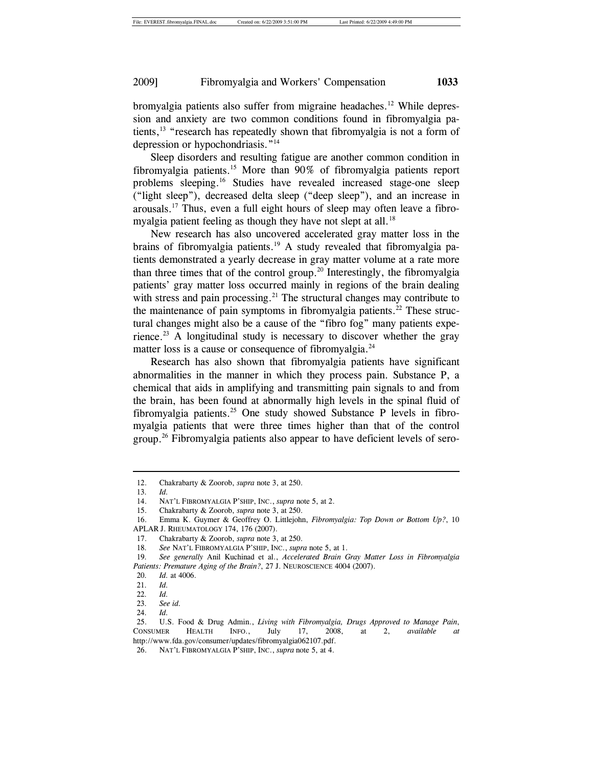bromyalgia patients also suffer from migraine headaches.<sup>12</sup> While depression and anxiety are two common conditions found in fibromyalgia patients,<sup>13</sup> "research has repeatedly shown that fibromyalgia is not a form of depression or hypochondriasis."<sup>14</sup>

Sleep disorders and resulting fatigue are another common condition in fibromyalgia patients.15 More than 90% of fibromyalgia patients report problems sleeping.16 Studies have revealed increased stage-one sleep ("light sleep"), decreased delta sleep ("deep sleep"), and an increase in arousals.17 Thus, even a full eight hours of sleep may often leave a fibromyalgia patient feeling as though they have not slept at all.<sup>18</sup>

New research has also uncovered accelerated gray matter loss in the brains of fibromyalgia patients.<sup>19</sup> A study revealed that fibromyalgia patients demonstrated a yearly decrease in gray matter volume at a rate more than three times that of the control group.<sup>20</sup> Interestingly, the fibromyalgia patients' gray matter loss occurred mainly in regions of the brain dealing with stress and pain processing.<sup>21</sup> The structural changes may contribute to the maintenance of pain symptoms in fibromyalgia patients.<sup>22</sup> These structural changes might also be a cause of the "fibro fog" many patients experience.<sup>23</sup> A longitudinal study is necessary to discover whether the gray matter loss is a cause or consequence of fibromyalgia. $^{24}$ 

Research has also shown that fibromyalgia patients have significant abnormalities in the manner in which they process pain. Substance P, a chemical that aids in amplifying and transmitting pain signals to and from the brain, has been found at abnormally high levels in the spinal fluid of fibromyalgia patients.<sup>25</sup> One study showed Substance P levels in fibromyalgia patients that were three times higher than that of the control group.26 Fibromyalgia patients also appear to have deficient levels of sero-

 <sup>12.</sup> Chakrabarty & Zoorob, *supra* note 3, at 250.

 <sup>13</sup>*. Id.*

 <sup>14.</sup> NAT'L FIBROMYALGIA P'SHIP, INC., *supra* note 5, at 2.

 <sup>15.</sup> Chakrabarty & Zoorob, *supra* note 3, at 250.

 <sup>16.</sup> Emma K. Guymer & Geoffrey O. Littlejohn, *Fibromyalgia: Top Down or Bottom Up?*, 10 APLAR J. RHEUMATOLOGY 174, 176 (2007).

 <sup>17.</sup> Chakrabarty & Zoorob, *supra* note 3, at 250.

 <sup>18</sup>*. See* NAT'L FIBROMYALGIA P'SHIP, INC., *supra* note 5, at 1.

 <sup>19</sup>*. See generally* Anil Kuchinad et al., *Accelerated Brain Gray Matter Loss in Fibromyalgia Patients: Premature Aging of the Brain?*, 27 J. NEUROSCIENCE 4004 (2007).

 <sup>20</sup>*. Id.* at 4006.

 <sup>21</sup>*. Id.*

 <sup>22</sup>*. Id.*

 <sup>23</sup>*. See id.*

 <sup>24</sup>*. Id.*

 <sup>25.</sup> U.S. Food & Drug Admin., *Living with Fibromyalgia, Drugs Approved to Manage Pain*, CONSUMER HEALTH INFO., July 17, 2008, at 2, *available at* http://www.fda.gov/consumer/updates/fibromyalgia062107.pdf.

 <sup>26.</sup> NAT'L FIBROMYALGIA P'SHIP, INC., *supra* note 5, at 4.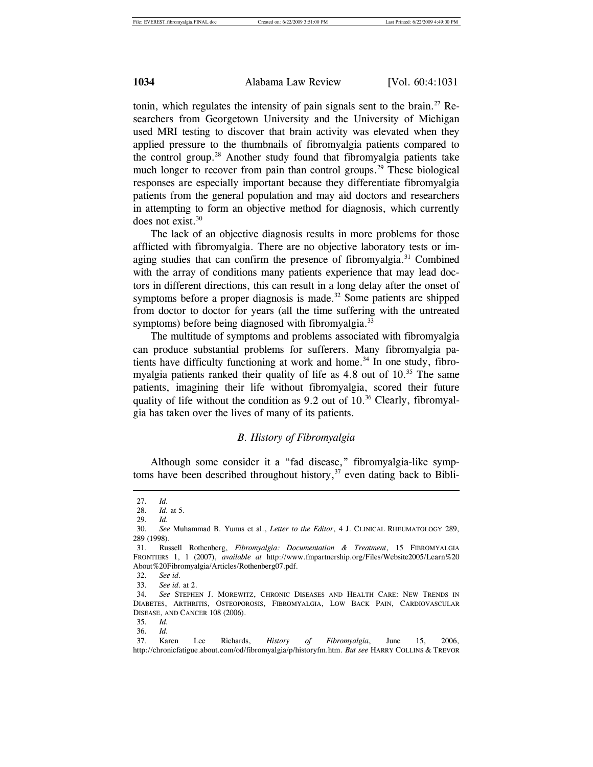tonin, which regulates the intensity of pain signals sent to the brain.<sup>27</sup> Researchers from Georgetown University and the University of Michigan used MRI testing to discover that brain activity was elevated when they applied pressure to the thumbnails of fibromyalgia patients compared to the control group.<sup>28</sup> Another study found that fibromyalgia patients take much longer to recover from pain than control groups.<sup>29</sup> These biological responses are especially important because they differentiate fibromyalgia patients from the general population and may aid doctors and researchers in attempting to form an objective method for diagnosis, which currently does not exist.<sup>30</sup>

The lack of an objective diagnosis results in more problems for those afflicted with fibromyalgia. There are no objective laboratory tests or imaging studies that can confirm the presence of fibromyalgia.<sup>31</sup> Combined with the array of conditions many patients experience that may lead doctors in different directions, this can result in a long delay after the onset of symptoms before a proper diagnosis is made.<sup>32</sup> Some patients are shipped from doctor to doctor for years (all the time suffering with the untreated symptoms) before being diagnosed with fibromyalgia.<sup>33</sup>

The multitude of symptoms and problems associated with fibromyalgia can produce substantial problems for sufferers. Many fibromyalgia patients have difficulty functioning at work and home.<sup>34</sup> In one study, fibromyalgia patients ranked their quality of life as  $4.8$  out of  $10<sup>35</sup>$  The same patients, imagining their life without fibromyalgia, scored their future quality of life without the condition as  $9.2$  out of  $10<sup>36</sup>$  Clearly, fibromyalgia has taken over the lives of many of its patients.

#### *B. History of Fibromyalgia*

Although some consider it a "fad disease," fibromyalgia-like symptoms have been described throughout history, $37$  even dating back to Bibli-

 <sup>27</sup>*. Id.*

<sup>28</sup>*. Id.* at 5.

 <sup>29</sup>*. Id.*

 <sup>30</sup>*. See* Muhammad B. Yunus et al., *Letter to the Editor*, 4 J. CLINICAL RHEUMATOLOGY 289, 289 (1998).

 <sup>31.</sup> Russell Rothenberg, *Fibromyalgia: Documentation & Treatment*, 15 FIBROMYALGIA FRONTIERS 1, 1 (2007), *available at* http://www.fmpartnership.org/Files/Website2005/Learn%20 About%20Fibromyalgia/Articles/Rothenberg07.pdf.

 <sup>32</sup>*. See id.*

<sup>33</sup>*. See id.* at 2.

 <sup>34</sup>*. See* STEPHEN J. MOREWITZ, CHRONIC DISEASES AND HEALTH CARE: NEW TRENDS IN DIABETES, ARTHRITIS, OSTEOPOROSIS, FIBROMYALGIA, LOW BACK PAIN, CARDIOVASCULAR DISEASE, AND CANCER 108 (2006).

 <sup>35</sup>*. Id.*

 <sup>36</sup>*. Id.*

 <sup>37.</sup> Karen Lee Richards, *History of Fibromyalgia*, June 15, 2006, http://chronicfatigue.about.com/od/fibromyalgia/p/historyfm.htm. *But see* HARRY COLLINS & TREVOR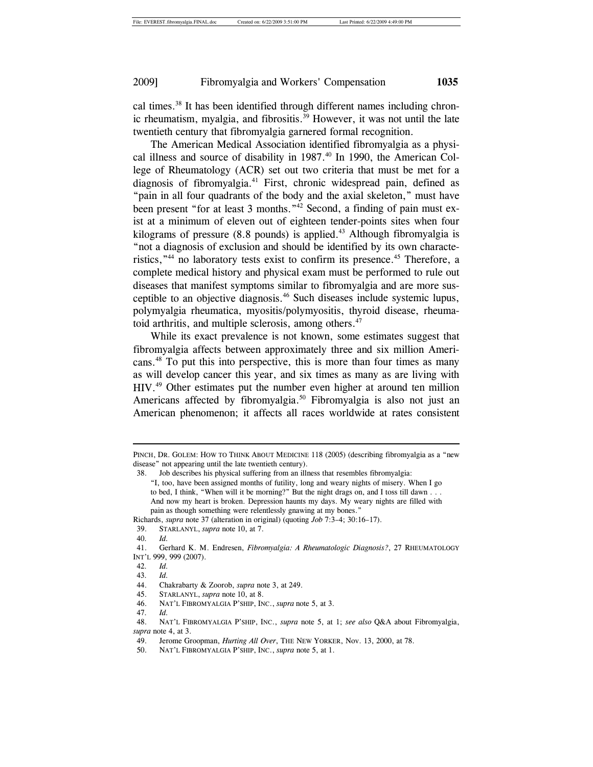cal times.<sup>38</sup> It has been identified through different names including chronic rheumatism, myalgia, and fibrositis.<sup>39</sup> However, it was not until the late twentieth century that fibromyalgia garnered formal recognition.

The American Medical Association identified fibromyalgia as a physical illness and source of disability in 1987.<sup>40</sup> In 1990, the American College of Rheumatology (ACR) set out two criteria that must be met for a diagnosis of fibromyalgia.41 First, chronic widespread pain, defined as "pain in all four quadrants of the body and the axial skeleton," must have been present "for at least 3 months."<sup>42</sup> Second, a finding of pain must exist at a minimum of eleven out of eighteen tender-points sites when four kilograms of pressure  $(8.8 \text{ pounds})$  is applied.<sup>43</sup> Although fibromyalgia is "not a diagnosis of exclusion and should be identified by its own characteristics,"<sup>44</sup> no laboratory tests exist to confirm its presence.<sup>45</sup> Therefore, a complete medical history and physical exam must be performed to rule out diseases that manifest symptoms similar to fibromyalgia and are more susceptible to an objective diagnosis.46 Such diseases include systemic lupus, polymyalgia rheumatica, myositis/polymyositis, thyroid disease, rheumatoid arthritis, and multiple sclerosis, among others.<sup>47</sup>

While its exact prevalence is not known, some estimates suggest that fibromyalgia affects between approximately three and six million Americans.48 To put this into perspective, this is more than four times as many as will develop cancer this year, and six times as many as are living with HIV.49 Other estimates put the number even higher at around ten million Americans affected by fibromyalgia.<sup>50</sup> Fibromyalgia is also not just an American phenomenon; it affects all races worldwide at rates consistent

PINCH, DR. GOLEM: HOW TO THINK ABOUT MEDICINE 118 (2005) (describing fibromyalgia as a "new disease" not appearing until the late twentieth century).

 <sup>38.</sup> Job describes his physical suffering from an illness that resembles fibromyalgia:

<sup>&</sup>quot;I, too, have been assigned months of futility, long and weary nights of misery. When I go to bed, I think, "When will it be morning?" But the night drags on, and I toss till dawn . . . And now my heart is broken. Depression haunts my days. My weary nights are filled with pain as though something were relentlessly gnawing at my bones.'

Richards, *supra* note 37 (alteration in original) (quoting *Job* 7:3–4; 30:16–17).

 <sup>39.</sup> STARLANYL, *supra* note 10, at 7.

 <sup>40</sup>*. Id.*

 <sup>41.</sup> Gerhard K. M. Endresen, *Fibromyalgia: A Rheumatologic Diagnosis?*, 27 RHEUMATOLOGY INT'L 999, 999 (2007).

 <sup>42</sup>*. Id.*

 <sup>43</sup>*. Id.*

 <sup>44.</sup> Chakrabarty & Zoorob, *supra* note 3, at 249.

 <sup>45.</sup> STARLANYL, *supra* note 10, at 8.

 <sup>46.</sup> NAT'L FIBROMYALGIA P'SHIP, INC., *supra* note 5, at 3.

 <sup>47</sup>*. Id.*

 <sup>48.</sup> NAT'L FIBROMYALGIA P'SHIP, INC., *supra* note 5, at 1; *see also* Q&A about Fibromyalgia, *supra* note 4, at 3.

 <sup>49.</sup> Jerome Groopman, *Hurting All Over*, THE NEW YORKER, Nov. 13, 2000, at 78.

 <sup>50.</sup> NAT'L FIBROMYALGIA P'SHIP, INC., *supra* note 5, at 1.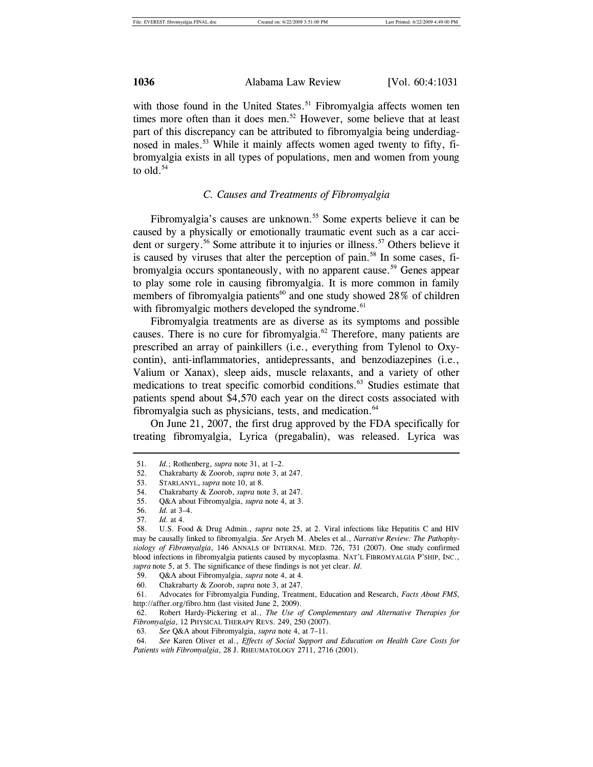with those found in the United States.<sup>51</sup> Fibromyalgia affects women ten times more often than it does men.<sup>52</sup> However, some believe that at least part of this discrepancy can be attributed to fibromyalgia being underdiagnosed in males.<sup>53</sup> While it mainly affects women aged twenty to fifty, fibromyalgia exists in all types of populations, men and women from young to  $old.^{54}$ 

#### *C. Causes and Treatments of Fibromyalgia*

Fibromyalgia's causes are unknown.<sup>55</sup> Some experts believe it can be caused by a physically or emotionally traumatic event such as a car accident or surgery.<sup>56</sup> Some attribute it to injuries or illness.<sup>57</sup> Others believe it is caused by viruses that alter the perception of pain.<sup>58</sup> In some cases, fibromyalgia occurs spontaneously, with no apparent cause.<sup>59</sup> Genes appear to play some role in causing fibromyalgia. It is more common in family members of fibromyalgia patients<sup>60</sup> and one study showed 28% of children with fibromyalgic mothers developed the syndrome.<sup>61</sup>

Fibromyalgia treatments are as diverse as its symptoms and possible causes. There is no cure for fibromyalgia. $^{62}$  Therefore, many patients are prescribed an array of painkillers (i.e., everything from Tylenol to Oxycontin), anti-inflammatories, antidepressants, and benzodiazepines (i.e., Valium or Xanax), sleep aids, muscle relaxants, and a variety of other medications to treat specific comorbid conditions.<sup>63</sup> Studies estimate that patients spend about \$4,570 each year on the direct costs associated with fibromyalgia such as physicians, tests, and medication. $64$ 

On June 21, 2007, the first drug approved by the FDA specifically for treating fibromyalgia, Lyrica (pregabalin), was released. Lyrica was

 <sup>51</sup>*. Id.*; Rothenberg, *supra* note 31, at 1–2.

 <sup>52.</sup> Chakrabarty & Zoorob, *supra* note 3, at 247.

 <sup>53.</sup> STARLANYL, *supra* note 10, at 8.

 <sup>54.</sup> Chakrabarty & Zoorob, *supra* note 3, at 247.

 <sup>55.</sup> Q&A about Fibromyalgia, *supra* note 4, at 3.

 <sup>56</sup>*. Id.* at 3–4.

 <sup>57</sup>*. Id.* at 4.

 <sup>58.</sup> U.S. Food & Drug Admin., *supra* note 25, at 2. Viral infections like Hepatitis C and HIV may be causally linked to fibromyalgia. *See* Aryeh M. Abeles et al., *Narrative Review: The Pathophysiology of Fibromyalgia*, 146 ANNALS OF INTERNAL MED. 726, 731 (2007). One study confirmed blood infections in fibromyalgia patients caused by mycoplasma. NAT'L FIBROMYALGIA P'SHIP, INC., *supra* note 5, at 5. The significance of these findings is not yet clear. *Id.*

 <sup>59.</sup> Q&A about Fibromyalgia, *supra* note 4, at 4*.*

 <sup>60.</sup> Chakrabarty & Zoorob, *supra* note 3, at 247.

 <sup>61.</sup> Advocates for Fibromyalgia Funding, Treatment, Education and Research, *Facts About FMS*, http://affter.org/fibro.htm (last visited June 2, 2009).

 <sup>62.</sup> Robert Hardy-Pickering et al., *The Use of Complementary and Alternative Therapies for Fibromyalgia*, 12 PHYSICAL THERAPY REVS. 249, 250 (2007).

 <sup>63</sup>*. See* Q&A about Fibromyalgia, *supra* note 4, at 7–11.

 <sup>64</sup>*. See* Karen Oliver et al., *Effects of Social Support and Education on Health Care Costs for Patients with Fibromyalgia*, 28 J. RHEUMATOLOGY 2711, 2716 (2001).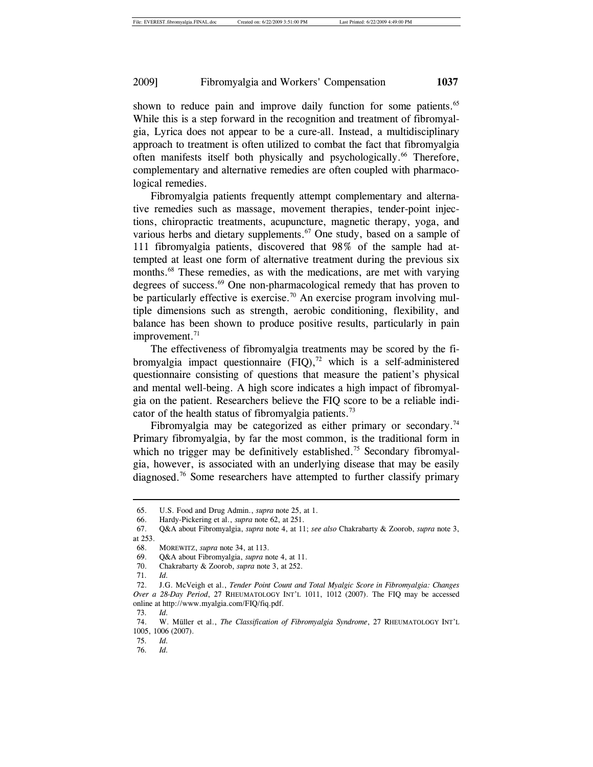shown to reduce pain and improve daily function for some patients.<sup>65</sup> While this is a step forward in the recognition and treatment of fibromyalgia, Lyrica does not appear to be a cure-all. Instead, a multidisciplinary approach to treatment is often utilized to combat the fact that fibromyalgia often manifests itself both physically and psychologically.<sup>66</sup> Therefore, complementary and alternative remedies are often coupled with pharmacological remedies.

Fibromyalgia patients frequently attempt complementary and alternative remedies such as massage, movement therapies, tender-point injections, chiropractic treatments, acupuncture, magnetic therapy, yoga, and various herbs and dietary supplements.<sup>67</sup> One study, based on a sample of 111 fibromyalgia patients, discovered that 98% of the sample had attempted at least one form of alternative treatment during the previous six months.<sup>68</sup> These remedies, as with the medications, are met with varying degrees of success.<sup>69</sup> One non-pharmacological remedy that has proven to be particularly effective is exercise.<sup>70</sup> An exercise program involving multiple dimensions such as strength, aerobic conditioning, flexibility, and balance has been shown to produce positive results, particularly in pain improvement.<sup>71</sup>

The effectiveness of fibromyalgia treatments may be scored by the fibromyalgia impact questionnaire  $(FIQ),<sup>72</sup>$  which is a self-administered questionnaire consisting of questions that measure the patient's physical and mental well-being. A high score indicates a high impact of fibromyalgia on the patient. Researchers believe the FIQ score to be a reliable indicator of the health status of fibromyalgia patients.<sup>73</sup>

Fibromyalgia may be categorized as either primary or secondary.<sup>74</sup> Primary fibromyalgia, by far the most common, is the traditional form in which no trigger may be definitively established.<sup>75</sup> Secondary fibromyalgia, however, is associated with an underlying disease that may be easily diagnosed.76 Some researchers have attempted to further classify primary

 <sup>65.</sup> U.S. Food and Drug Admin., *supra* note 25, at 1.

 <sup>66.</sup> Hardy-Pickering et al., *supra* note 62, at 251.

 <sup>67.</sup> Q&A about Fibromyalgia, *supra* note 4, at 11; *see also* Chakrabarty & Zoorob, *supra* note 3, at 253.

 <sup>68.</sup> MOREWITZ, *supra* note 34, at 113.

 <sup>69.</sup> Q&A about Fibromyalgia, *supra* note 4, at 11.

 <sup>70.</sup> Chakrabarty & Zoorob, *supra* note 3, at 252.

 <sup>71</sup>*. Id.*

 <sup>72.</sup> J.G. McVeigh et al., *Tender Point Count and Total Myalgic Score in Fibromyalgia: Changes Over a 28-Day Period*, 27 RHEUMATOLOGY INT'L 1011, 1012 (2007). The FIQ may be accessed online at http://www.myalgia.com/FIQ/fiq.pdf.

 <sup>73</sup>*. Id.* 

 <sup>74.</sup> W. Müller et al., *The Classification of Fibromyalgia Syndrome*, 27 RHEUMATOLOGY INT'L 1005, 1006 (2007).

 <sup>75</sup>*. Id.*

 <sup>76</sup>*. Id.*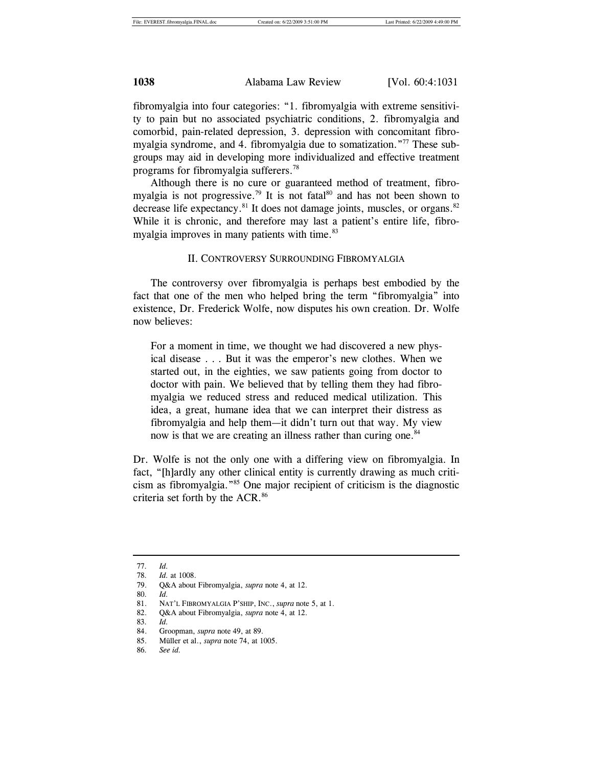fibromyalgia into four categories: "1. fibromyalgia with extreme sensitivity to pain but no associated psychiatric conditions, 2. fibromyalgia and comorbid, pain-related depression, 3. depression with concomitant fibromyalgia syndrome, and 4. fibromyalgia due to somatization."77 These subgroups may aid in developing more individualized and effective treatment programs for fibromyalgia sufferers.78

Although there is no cure or guaranteed method of treatment, fibromyalgia is not progressive.<sup>79</sup> It is not fatal<sup>80</sup> and has not been shown to decrease life expectancy.<sup>81</sup> It does not damage joints, muscles, or organs.<sup>82</sup> While it is chronic, and therefore may last a patient's entire life, fibromyalgia improves in many patients with time.<sup>83</sup>

#### II. CONTROVERSY SURROUNDING FIBROMYALGIA

The controversy over fibromyalgia is perhaps best embodied by the fact that one of the men who helped bring the term "fibromyalgia" into existence, Dr. Frederick Wolfe, now disputes his own creation. Dr. Wolfe now believes:

For a moment in time, we thought we had discovered a new physical disease . . . But it was the emperor's new clothes. When we started out, in the eighties, we saw patients going from doctor to doctor with pain. We believed that by telling them they had fibromyalgia we reduced stress and reduced medical utilization. This idea, a great, humane idea that we can interpret their distress as fibromyalgia and help them—it didn't turn out that way. My view now is that we are creating an illness rather than curing one.<sup>84</sup>

Dr. Wolfe is not the only one with a differing view on fibromyalgia. In fact, "[h]ardly any other clinical entity is currently drawing as much criticism as fibromyalgia."85 One major recipient of criticism is the diagnostic criteria set forth by the ACR.<sup>86</sup>

l

86*. See id.*

 <sup>77</sup>*. Id.*

 <sup>78</sup>*. Id.* at 1008.

 <sup>79.</sup> Q&A about Fibromyalgia, *supra* note 4, at 12.

 <sup>80</sup>*. Id.*

 <sup>81.</sup> NAT'L FIBROMYALGIA P'SHIP, INC., *supra* note 5, at 1.

 <sup>82.</sup> Q&A about Fibromyalgia, *supra* note 4, at 12.

 <sup>83</sup>*. Id.*

 <sup>84.</sup> Groopman, *supra* note 49, at 89.

 <sup>85.</sup> Müller et al., *supra* note 74, at 1005.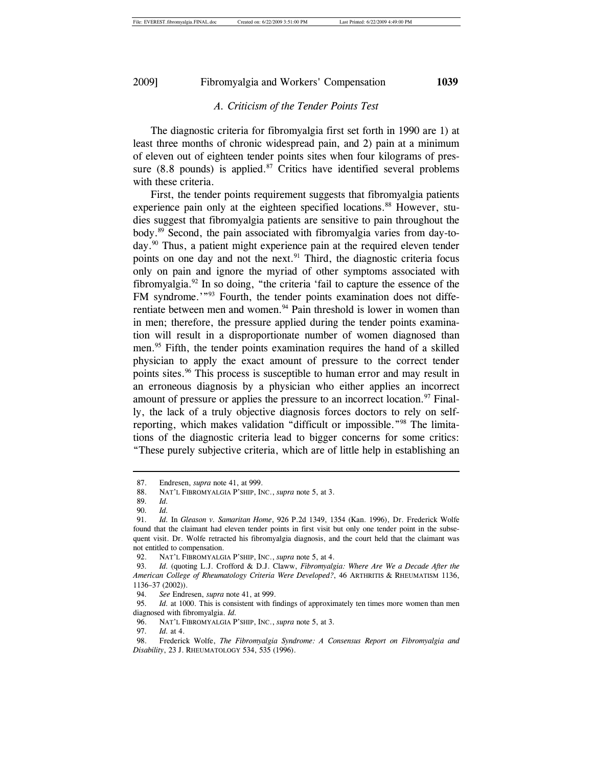#### *A. Criticism of the Tender Points Test*

The diagnostic criteria for fibromyalgia first set forth in 1990 are 1) at least three months of chronic widespread pain, and 2) pain at a minimum of eleven out of eighteen tender points sites when four kilograms of pressure  $(8.8 \text{ pounds})$  is applied.<sup>87</sup> Critics have identified several problems with these criteria.

First, the tender points requirement suggests that fibromyalgia patients experience pain only at the eighteen specified locations.<sup>88</sup> However, studies suggest that fibromyalgia patients are sensitive to pain throughout the body.89 Second, the pain associated with fibromyalgia varies from day-today.<sup>90</sup> Thus, a patient might experience pain at the required eleven tender points on one day and not the next.<sup>91</sup> Third, the diagnostic criteria focus only on pain and ignore the myriad of other symptoms associated with fibromyalgia. $92$  In so doing, "the criteria 'fail to capture the essence of the FM syndrome.'"<sup>93</sup> Fourth, the tender points examination does not differentiate between men and women.<sup>94</sup> Pain threshold is lower in women than in men; therefore, the pressure applied during the tender points examination will result in a disproportionate number of women diagnosed than men.<sup>95</sup> Fifth, the tender points examination requires the hand of a skilled physician to apply the exact amount of pressure to the correct tender points sites.<sup>96</sup> This process is susceptible to human error and may result in an erroneous diagnosis by a physician who either applies an incorrect amount of pressure or applies the pressure to an incorrect location. $97$  Finally, the lack of a truly objective diagnosis forces doctors to rely on selfreporting, which makes validation "difficult or impossible."98 The limitations of the diagnostic criteria lead to bigger concerns for some critics: "These purely subjective criteria, which are of little help in establishing an

 <sup>87.</sup> Endresen, *supra* note 41, at 999.

 <sup>88.</sup> NAT'L FIBROMYALGIA P'SHIP, INC., *supra* note 5, at 3.

 <sup>89</sup>*. Id.*

 <sup>90</sup>*. Id.*

<sup>91</sup>*. Id.* In *Gleason v. Samaritan Home*, 926 P.2d 1349, 1354 (Kan. 1996), Dr. Frederick Wolfe found that the claimant had eleven tender points in first visit but only one tender point in the subsequent visit. Dr. Wolfe retracted his fibromyalgia diagnosis, and the court held that the claimant was not entitled to compensation.

 <sup>92.</sup> NAT'L FIBROMYALGIA P'SHIP, INC., *supra* note 5, at 4.

 <sup>93</sup>*. Id.* (quoting L.J. Crofford & D.J. Claww, *Fibromyalgia: Where Are We a Decade After the American College of Rheumatology Criteria Were Developed?*, 46 ARTHRITIS & RHEUMATISM 1136, 1136–37 (2002)).

 <sup>94</sup>*. See* Endresen, *supra* note 41, at 999.

 <sup>95</sup>*. Id.* at 1000. This is consistent with findings of approximately ten times more women than men diagnosed with fibromyalgia. *Id.*

 <sup>96.</sup> NAT'L FIBROMYALGIA P'SHIP, INC., *supra* note 5, at 3*.*

 <sup>97</sup>*. Id.* at 4.

 <sup>98.</sup> Frederick Wolfe, *The Fibromyalgia Syndrome: A Consensus Report on Fibromyalgia and Disability*, 23 J. RHEUMATOLOGY 534, 535 (1996).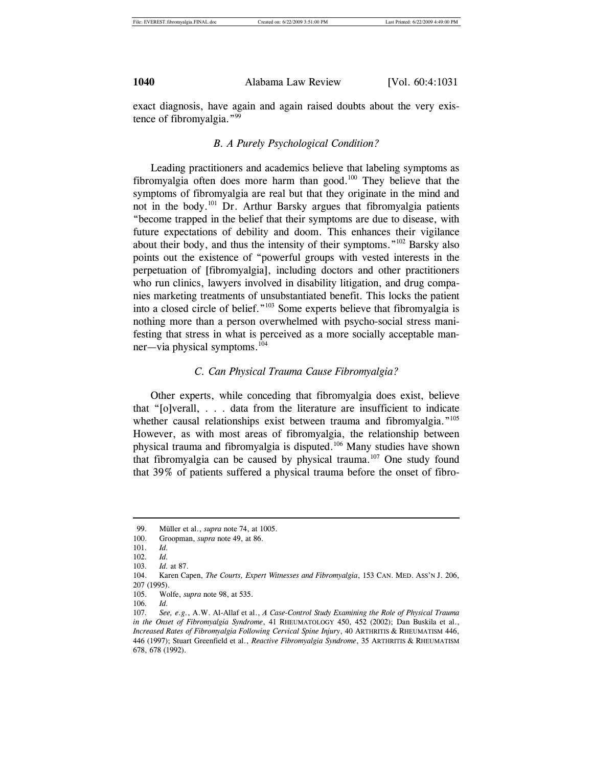exact diagnosis, have again and again raised doubts about the very existence of fibromyalgia."99

#### *B. A Purely Psychological Condition?*

Leading practitioners and academics believe that labeling symptoms as fibromyalgia often does more harm than good. $100$  They believe that the symptoms of fibromyalgia are real but that they originate in the mind and not in the body.101 Dr. Arthur Barsky argues that fibromyalgia patients "become trapped in the belief that their symptoms are due to disease, with future expectations of debility and doom. This enhances their vigilance about their body, and thus the intensity of their symptoms."102 Barsky also points out the existence of "powerful groups with vested interests in the perpetuation of [fibromyalgia], including doctors and other practitioners who run clinics, lawyers involved in disability litigation, and drug companies marketing treatments of unsubstantiated benefit. This locks the patient into a closed circle of belief."103 Some experts believe that fibromyalgia is nothing more than a person overwhelmed with psycho-social stress manifesting that stress in what is perceived as a more socially acceptable manner—via physical symptoms.104

### *C. Can Physical Trauma Cause Fibromyalgia?*

Other experts, while conceding that fibromyalgia does exist, believe that "[o]verall, . . . data from the literature are insufficient to indicate whether causal relationships exist between trauma and fibromyalgia."<sup>105</sup> However, as with most areas of fibromyalgia, the relationship between physical trauma and fibromyalgia is disputed.106 Many studies have shown that fibromyalgia can be caused by physical trauma.<sup>107</sup> One study found that 39% of patients suffered a physical trauma before the onset of fibro-

 <sup>99.</sup> Müller et al., *supra* note 74, at 1005.

<sup>100.</sup> Groopman, *supra* note 49, at 86.

<sup>101</sup>*. Id.*

<sup>102</sup>*. Id.*

<sup>103</sup>*. Id.* at 87.

<sup>104.</sup> Karen Capen, *The Courts, Expert Witnesses and Fibromyalgia*, 153 CAN. MED. ASS'N J. 206, 207 (1995).

<sup>105.</sup> Wolfe, *supra* note 98, at 535.

<sup>106</sup>*. Id.*

<sup>107</sup>*. See, e.g.*, A.W. Al-Allaf et al., *A Case-Control Study Examining the Role of Physical Trauma in the Onset of Fibromyalgia Syndrome*, 41 RHEUMATOLOGY 450, 452 (2002); Dan Buskila et al., *Increased Rates of Fibromyalgia Following Cervical Spine Injury*, 40 ARTHRITIS & RHEUMATISM 446, 446 (1997); Stuart Greenfield et al., *Reactive Fibromyalgia Syndrome*, 35 ARTHRITIS & RHEUMATISM 678, 678 (1992).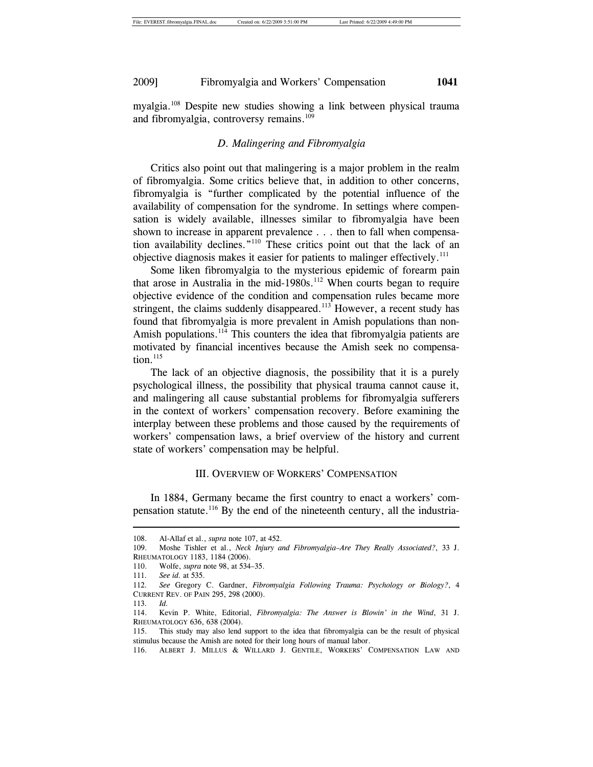myalgia.108 Despite new studies showing a link between physical trauma and fibromyalgia, controversy remains.<sup>109</sup>

### *D. Malingering and Fibromyalgia*

Critics also point out that malingering is a major problem in the realm of fibromyalgia. Some critics believe that, in addition to other concerns, fibromyalgia is "further complicated by the potential influence of the availability of compensation for the syndrome. In settings where compensation is widely available, illnesses similar to fibromyalgia have been shown to increase in apparent prevalence . . . then to fall when compensation availability declines."110 These critics point out that the lack of an objective diagnosis makes it easier for patients to malinger effectively.111

Some liken fibromyalgia to the mysterious epidemic of forearm pain that arose in Australia in the mid-1980s.<sup>112</sup> When courts began to require objective evidence of the condition and compensation rules became more stringent, the claims suddenly disappeared.<sup>113</sup> However, a recent study has found that fibromyalgia is more prevalent in Amish populations than non-Amish populations.<sup>114</sup> This counters the idea that fibromyalgia patients are motivated by financial incentives because the Amish seek no compensation.<sup>115</sup>

The lack of an objective diagnosis, the possibility that it is a purely psychological illness, the possibility that physical trauma cannot cause it, and malingering all cause substantial problems for fibromyalgia sufferers in the context of workers' compensation recovery. Before examining the interplay between these problems and those caused by the requirements of workers' compensation laws, a brief overview of the history and current state of workers' compensation may be helpful.

#### III. OVERVIEW OF WORKERS' COMPENSATION

In 1884, Germany became the first country to enact a workers' compensation statute.<sup>116</sup> By the end of the nineteenth century, all the industria-

<sup>108.</sup> Al-Allaf et al., *supra* note 107, at 452.

<sup>109.</sup> Moshe Tishler et al., *Neck Injury and Fibromyalgia–Are They Really Associated?*, 33 J. RHEUMATOLOGY 1183, 1184 (2006).

<sup>110.</sup> Wolfe, *supra* note 98, at 534–35.

<sup>111</sup>*. See id.* at 535.

<sup>112</sup>*. See* Gregory C. Gardner, *Fibromyalgia Following Trauma: Psychology or Biology?*, 4 CURRENT REV. OF PAIN 295, 298 (2000).

<sup>113</sup>*. Id.*

<sup>114.</sup> Kevin P. White, Editorial, *Fibromyalgia: The Answer is Blowin' in the Wind*, 31 J. RHEUMATOLOGY 636, 638 (2004).

<sup>115.</sup> This study may also lend support to the idea that fibromyalgia can be the result of physical stimulus because the Amish are noted for their long hours of manual labor.

<sup>116.</sup> ALBERT J. MILLUS & WILLARD J. GENTILE, WORKERS' COMPENSATION LAW AND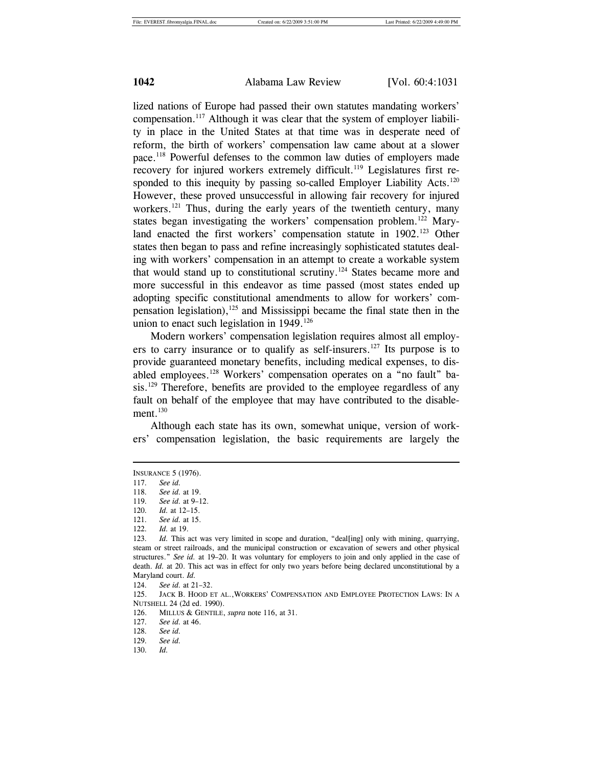lized nations of Europe had passed their own statutes mandating workers' compensation.117 Although it was clear that the system of employer liability in place in the United States at that time was in desperate need of reform, the birth of workers' compensation law came about at a slower pace.118 Powerful defenses to the common law duties of employers made recovery for injured workers extremely difficult.<sup>119</sup> Legislatures first responded to this inequity by passing so-called Employer Liability Acts.<sup>120</sup> However, these proved unsuccessful in allowing fair recovery for injured workers.<sup>121</sup> Thus, during the early years of the twentieth century, many states began investigating the workers' compensation problem.<sup>122</sup> Maryland enacted the first workers' compensation statute in 1902.<sup>123</sup> Other states then began to pass and refine increasingly sophisticated statutes dealing with workers' compensation in an attempt to create a workable system that would stand up to constitutional scrutiny.<sup>124</sup> States became more and more successful in this endeavor as time passed (most states ended up adopting specific constitutional amendments to allow for workers' compensation legislation),<sup>125</sup> and Mississippi became the final state then in the union to enact such legislation in  $1949$ .<sup>126</sup>

Modern workers' compensation legislation requires almost all employers to carry insurance or to qualify as self-insurers.<sup>127</sup> Its purpose is to provide guaranteed monetary benefits, including medical expenses, to disabled employees.128 Workers' compensation operates on a "no fault" basis.<sup>129</sup> Therefore, benefits are provided to the employee regardless of any fault on behalf of the employee that may have contributed to the disablement. $130$ 

Although each state has its own, somewhat unique, version of workers' compensation legislation, the basic requirements are largely the

INSURANCE 5 (1976).

<sup>117</sup>*. See id.*

<sup>118</sup>*. See id.* at 19.

<sup>119</sup>*. See id.* at 9–12.

<sup>120</sup>*. Id.* at 12–15.

<sup>121</sup>*. See id.* at 15.

<sup>122</sup>*. Id.* at 19.

<sup>123</sup>*. Id.* This act was very limited in scope and duration, "deal[ing] only with mining, quarrying, steam or street railroads, and the municipal construction or excavation of sewers and other physical structures." *See id.* at 19–20. It was voluntary for employers to join and only applied in the case of death. *Id.* at 20. This act was in effect for only two years before being declared unconstitutional by a Maryland court. *Id.*

<sup>124</sup>*. See id.* at 21–32.

<sup>125.</sup> JACK B. HOOD ET AL.,WORKERS' COMPENSATION AND EMPLOYEE PROTECTION LAWS: IN A NUTSHELL 24 (2d ed. 1990).

<sup>126.</sup> MILLUS & GENTILE, *supra* note 116, at 31.

<sup>127</sup>*. See id.* at 46.

<sup>128</sup>*. See id.*

<sup>129</sup>*. See id.*

<sup>130</sup>*. Id.*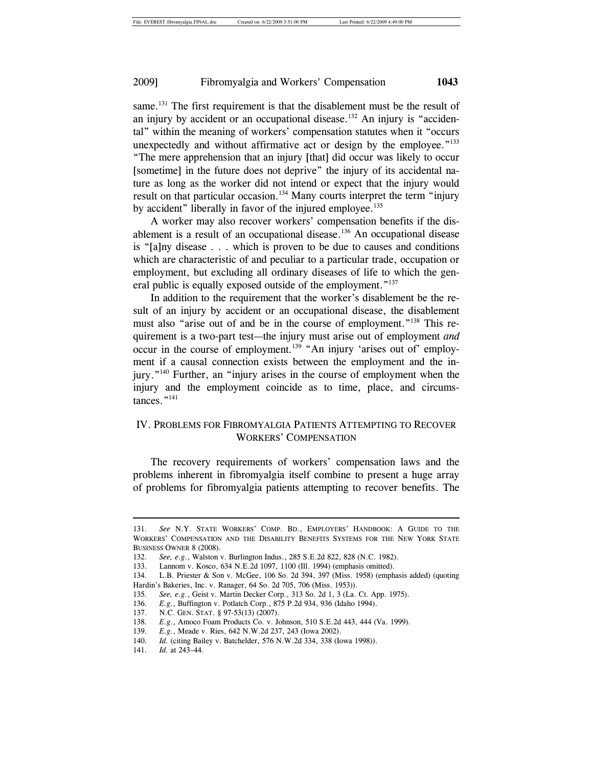same.<sup>131</sup> The first requirement is that the disablement must be the result of an injury by accident or an occupational disease.<sup>132</sup> An injury is "accidental" within the meaning of workers' compensation statutes when it "occurs unexpectedly and without affirmative act or design by the employee."<sup>133</sup> "The mere apprehension that an injury [that] did occur was likely to occur [sometime] in the future does not deprive" the injury of its accidental nature as long as the worker did not intend or expect that the injury would result on that particular occasion.<sup>134</sup> Many courts interpret the term "injury" by accident" liberally in favor of the injured employee.<sup>135</sup>

A worker may also recover workers' compensation benefits if the disablement is a result of an occupational disease.<sup>136</sup> An occupational disease is "[a]ny disease . . . which is proven to be due to causes and conditions which are characteristic of and peculiar to a particular trade, occupation or employment, but excluding all ordinary diseases of life to which the general public is equally exposed outside of the employment."<sup>137</sup>

In addition to the requirement that the worker's disablement be the result of an injury by accident or an occupational disease, the disablement must also "arise out of and be in the course of employment."<sup>138</sup> This requirement is a two-part test—the injury must arise out of employment *and* occur in the course of employment.<sup>139</sup> "An injury 'arises out of' employment if a causal connection exists between the employment and the injury."140 Further, an "injury arises in the course of employment when the injury and the employment coincide as to time, place, and circumstances."<sup>141</sup>

# IV. PROBLEMS FOR FIBROMYALGIA PATIENTS ATTEMPTING TO RECOVER WORKERS' COMPENSATION

The recovery requirements of workers' compensation laws and the problems inherent in fibromyalgia itself combine to present a huge array of problems for fibromyalgia patients attempting to recover benefits. The

<sup>131</sup>*. See* N.Y. STATE WORKERS' COMP. BD., EMPLOYERS' HANDBOOK: A GUIDE TO THE WORKERS' COMPENSATION AND THE DISABILITY BENEFITS SYSTEMS FOR THE NEW YORK STATE BUSINESS OWNER 8 (2008).

<sup>132</sup>*. See, e.g.*, Walston v. Burlington Indus., 285 S.E.2d 822, 828 (N.C. 1982).

<sup>133.</sup> Lannom v. Kosco, 634 N.E.2d 1097, 1100 (Ill. 1994) (emphasis omitted).

<sup>134.</sup> L.B. Priester & Son v. McGee, 106 So. 2d 394, 397 (Miss. 1958) (emphasis added) (quoting Hardin's Bakeries, Inc. v. Ranager, 64 So. 2d 705, 706 (Miss. 1953)).

<sup>135</sup>*. See, e.g.*, Geist v. Martin Decker Corp., 313 So. 2d 1, 3 (La. Ct. App. 1975).

<sup>136</sup>*. E.g.*, Buffington v. Potlatch Corp., 875 P.2d 934, 936 (Idaho 1994).

<sup>137.</sup> N.C. GEN. STAT. § 97-53(13) (2007).

<sup>138</sup>*. E.g.*, Amoco Foam Products Co. v. Johnson, 510 S.E.2d 443, 444 (Va. 1999).

<sup>139</sup>*. E.g.*, Meade v. Ries, 642 N.W.2d 237, 243 (Iowa 2002).

<sup>140</sup>*. Id.* (citing Bailey v. Batchelder, 576 N.W.2d 334, 338 (Iowa 1998)).

<sup>141</sup>*. Id.* at 243–44.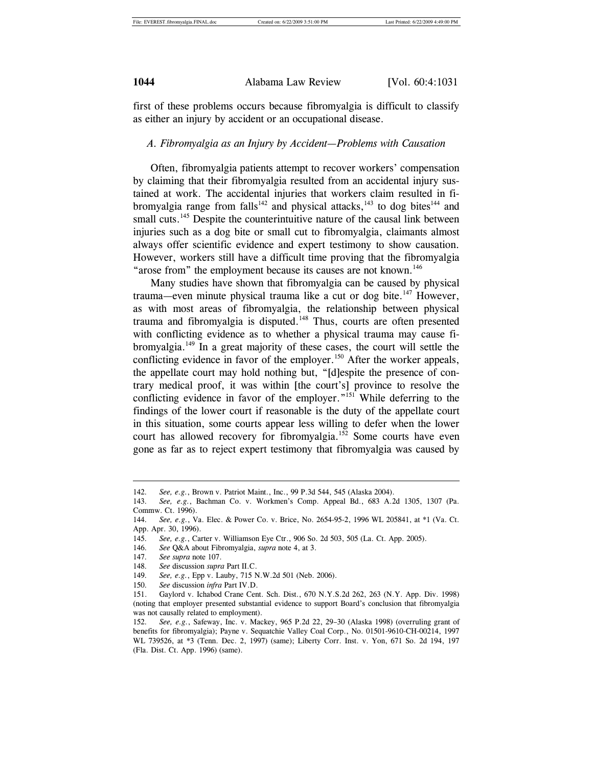first of these problems occurs because fibromyalgia is difficult to classify as either an injury by accident or an occupational disease.

#### *A. Fibromyalgia as an Injury by Accident—Problems with Causation*

Often, fibromyalgia patients attempt to recover workers' compensation by claiming that their fibromyalgia resulted from an accidental injury sustained at work. The accidental injuries that workers claim resulted in fibromyalgia range from falls<sup>142</sup> and physical attacks,<sup>143</sup> to dog bites<sup>144</sup> and small cuts.<sup>145</sup> Despite the counterintuitive nature of the causal link between injuries such as a dog bite or small cut to fibromyalgia, claimants almost always offer scientific evidence and expert testimony to show causation. However, workers still have a difficult time proving that the fibromyalgia "arose from" the employment because its causes are not known.<sup>146</sup>

Many studies have shown that fibromyalgia can be caused by physical trauma—even minute physical trauma like a cut or dog bite.<sup>147</sup> However, as with most areas of fibromyalgia, the relationship between physical trauma and fibromyalgia is disputed.148 Thus, courts are often presented with conflicting evidence as to whether a physical trauma may cause fibromyalgia.149 In a great majority of these cases, the court will settle the conflicting evidence in favor of the employer.<sup>150</sup> After the worker appeals, the appellate court may hold nothing but, "[d]espite the presence of contrary medical proof, it was within [the court's] province to resolve the conflicting evidence in favor of the employer."151 While deferring to the findings of the lower court if reasonable is the duty of the appellate court in this situation, some courts appear less willing to defer when the lower court has allowed recovery for fibromyalgia.<sup>152</sup> Some courts have even gone as far as to reject expert testimony that fibromyalgia was caused by

<sup>142</sup>*. See, e.g.*, Brown v. Patriot Maint., Inc., 99 P.3d 544, 545 (Alaska 2004).

<sup>143</sup>*. See, e.g.*, Bachman Co. v. Workmen's Comp. Appeal Bd., 683 A.2d 1305, 1307 (Pa. Commw. Ct. 1996).

<sup>144</sup>*. See, e.g.*, Va. Elec. & Power Co. v. Brice, No. 2654-95-2, 1996 WL 205841, at \*1 (Va. Ct. App. Apr. 30, 1996).

<sup>145</sup>*. See, e.g.*, Carter v. Williamson Eye Ctr., 906 So. 2d 503, 505 (La. Ct. App. 2005).

<sup>146</sup>*. See* Q&A about Fibromyalgia, *supra* note 4, at 3.

<sup>147</sup>*. See supra* note 107.

<sup>148</sup>*. See* discussion *supra* Part II.C.

<sup>149</sup>*. See, e.g.*, Epp v. Lauby, 715 N.W.2d 501 (Neb. 2006).

<sup>150</sup>*. See* discussion *infra* Part IV.D.

<sup>151.</sup> Gaylord v. Ichabod Crane Cent. Sch. Dist., 670 N.Y.S.2d 262, 263 (N.Y. App. Div. 1998) (noting that employer presented substantial evidence to support Board's conclusion that fibromyalgia was not causally related to employment).

<sup>152</sup>*. See, e.g.*, Safeway, Inc. v. Mackey, 965 P.2d 22, 29–30 (Alaska 1998) (overruling grant of benefits for fibromyalgia); Payne v. Sequatchie Valley Coal Corp., No. 01501-9610-CH-00214, 1997 WL 739526, at \*3 (Tenn. Dec. 2, 1997) (same); Liberty Corr. Inst. v. Yon, 671 So. 2d 194, 197 (Fla. Dist. Ct. App. 1996) (same).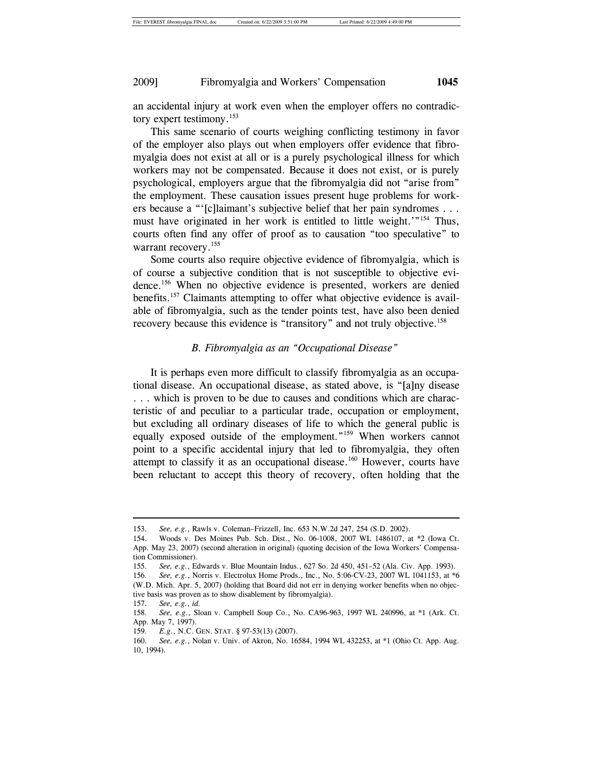an accidental injury at work even when the employer offers no contradictory expert testimony.<sup>153</sup>

This same scenario of courts weighing conflicting testimony in favor of the employer also plays out when employers offer evidence that fibromyalgia does not exist at all or is a purely psychological illness for which workers may not be compensated. Because it does not exist, or is purely psychological, employers argue that the fibromyalgia did not "arise from" the employment. These causation issues present huge problems for workers because a "'[c]laimant's subjective belief that her pain syndromes . . . must have originated in her work is entitled to little weight.<sup>'"154</sup> Thus, courts often find any offer of proof as to causation "too speculative" to warrant recovery.<sup>155</sup>

Some courts also require objective evidence of fibromyalgia, which is of course a subjective condition that is not susceptible to objective evidence.156 When no objective evidence is presented, workers are denied benefits.<sup>157</sup> Claimants attempting to offer what objective evidence is available of fibromyalgia, such as the tender points test, have also been denied recovery because this evidence is "transitory" and not truly objective.<sup>158</sup>

#### *B. Fibromyalgia as an "Occupational Disease"*

It is perhaps even more difficult to classify fibromyalgia as an occupational disease. An occupational disease, as stated above, is "[a]ny disease . . . which is proven to be due to causes and conditions which are characteristic of and peculiar to a particular trade, occupation or employment, but excluding all ordinary diseases of life to which the general public is equally exposed outside of the employment."159 When workers cannot point to a specific accidental injury that led to fibromyalgia, they often attempt to classify it as an occupational disease.<sup>160</sup> However, courts have been reluctant to accept this theory of recovery, often holding that the

<sup>153</sup>*. See, e.g.*, Rawls v. Coleman–Frizzell, Inc. 653 N.W.2d 247, 254 (S.D. 2002).

<sup>154.</sup> Woods v. Des Moines Pub. Sch. Dist., No. 06-1008, 2007 WL 1486107, at \*2 (Iowa Ct. App. May 23, 2007) (second alteration in original) (quoting decision of the Iowa Workers' Compensation Commissioner).

<sup>155</sup>*. See, e.g.*, Edwards v. Blue Mountain Indus., 627 So. 2d 450, 451–52 (Ala. Civ. App. 1993).

<sup>156</sup>*. See, e.g.*, Norris v. Electrolux Home Prods., Inc., No. 5:06-CV-23, 2007 WL 1041153, at \*6 (W.D. Mich. Apr. 5, 2007) (holding that Board did not err in denying worker benefits when no objective basis was proven as to show disablement by fibromyalgia).

<sup>157</sup>*. See, e.g.*, *id.*

<sup>158</sup>*. See, e.g.*, Sloan v. Campbell Soup Co., No. CA96-963, 1997 WL 240996, at \*1 (Ark. Ct. App. May 7, 1997).

<sup>159</sup>*. E.g.*, N.C. GEN. STAT. § 97-53(13) (2007).

<sup>160</sup>*. See, e.g.*, Nolan v. Univ. of Akron, No. 16584, 1994 WL 432253, at \*1 (Ohio Ct. App. Aug. 10, 1994).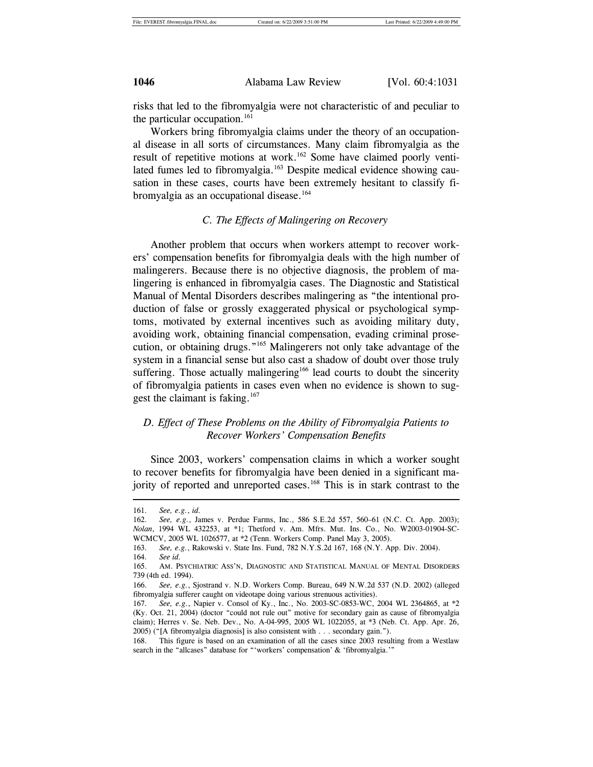risks that led to the fibromyalgia were not characteristic of and peculiar to the particular occupation. $161$ 

Workers bring fibromyalgia claims under the theory of an occupational disease in all sorts of circumstances. Many claim fibromyalgia as the result of repetitive motions at work.<sup>162</sup> Some have claimed poorly ventilated fumes led to fibromyalgia.<sup>163</sup> Despite medical evidence showing causation in these cases, courts have been extremely hesitant to classify fibromyalgia as an occupational disease.<sup>164</sup>

### *C. The Effects of Malingering on Recovery*

Another problem that occurs when workers attempt to recover workers' compensation benefits for fibromyalgia deals with the high number of malingerers. Because there is no objective diagnosis, the problem of malingering is enhanced in fibromyalgia cases. The Diagnostic and Statistical Manual of Mental Disorders describes malingering as "the intentional production of false or grossly exaggerated physical or psychological symptoms, motivated by external incentives such as avoiding military duty, avoiding work, obtaining financial compensation, evading criminal prosecution, or obtaining drugs."165 Malingerers not only take advantage of the system in a financial sense but also cast a shadow of doubt over those truly suffering. Those actually malingering<sup>166</sup> lead courts to doubt the sincerity of fibromyalgia patients in cases even when no evidence is shown to suggest the claimant is faking.<sup>167</sup>

# *D. Effect of These Problems on the Ability of Fibromyalgia Patients to Recover Workers' Compensation Benefits*

Since 2003, workers' compensation claims in which a worker sought to recover benefits for fibromyalgia have been denied in a significant majority of reported and unreported cases.<sup>168</sup> This is in stark contrast to the

<sup>161</sup>*. See, e.g.*, *id.*

<sup>162</sup>*. See, e.g.*, James v. Perdue Farms, Inc., 586 S.E.2d 557, 560–61 (N.C. Ct. App. 2003); *Nolan*, 1994 WL 432253, at \*1; Thetford v. Am. Mfrs. Mut. Ins. Co., No. W2003-01904-SC-WCMCV, 2005 WL 1026577, at \*2 (Tenn. Workers Comp. Panel May 3, 2005).

<sup>163</sup>*. See, e.g.*, Rakowski v. State Ins. Fund, 782 N.Y.S.2d 167, 168 (N.Y. App. Div. 2004).

<sup>164</sup>*. See id.*

<sup>165.</sup> AM. PSYCHIATRIC ASS'N, DIAGNOSTIC AND STATISTICAL MANUAL OF MENTAL DISORDERS 739 (4th ed. 1994).

<sup>166</sup>*. See, e.g.*, Sjostrand v. N.D. Workers Comp. Bureau, 649 N.W.2d 537 (N.D. 2002) (alleged fibromyalgia sufferer caught on videotape doing various strenuous activities).

<sup>167</sup>*. See, e.g.*, Napier v. Consol of Ky., Inc., No. 2003-SC-0853-WC, 2004 WL 2364865, at \*2 (Ky. Oct. 21, 2004) (doctor "could not rule out" motive for secondary gain as cause of fibromyalgia claim); Herres v. Se. Neb. Dev., No. A-04-995, 2005 WL 1022055, at \*3 (Neb. Ct. App. Apr. 26, 2005) ("[A fibromyalgia diagnosis] is also consistent with . . . secondary gain.").

<sup>168.</sup> This figure is based on an examination of all the cases since 2003 resulting from a Westlaw search in the "allcases" database for "'workers' compensation' & 'fibromyalgia.'"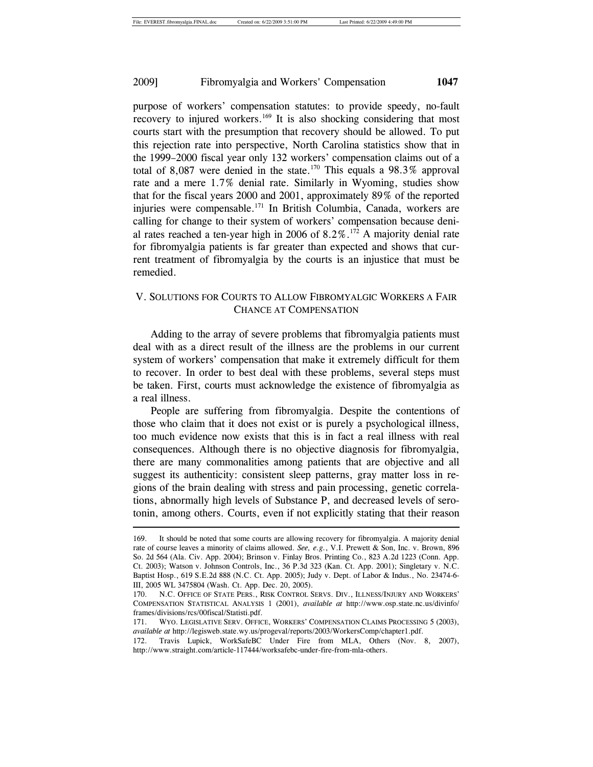purpose of workers' compensation statutes: to provide speedy, no-fault recovery to injured workers.<sup>169</sup> It is also shocking considering that most courts start with the presumption that recovery should be allowed. To put this rejection rate into perspective, North Carolina statistics show that in the 1999–2000 fiscal year only 132 workers' compensation claims out of a total of 8,087 were denied in the state.<sup>170</sup> This equals a 98.3% approval rate and a mere 1.7% denial rate. Similarly in Wyoming, studies show that for the fiscal years 2000 and 2001, approximately 89% of the reported injuries were compensable.171 In British Columbia, Canada, workers are calling for change to their system of workers' compensation because denial rates reached a ten-year high in 2006 of  $8.2\%$ .<sup>172</sup> A majority denial rate for fibromyalgia patients is far greater than expected and shows that current treatment of fibromyalgia by the courts is an injustice that must be remedied.

# V. SOLUTIONS FOR COURTS TO ALLOW FIBROMYALGIC WORKERS A FAIR CHANCE AT COMPENSATION

Adding to the array of severe problems that fibromyalgia patients must deal with as a direct result of the illness are the problems in our current system of workers' compensation that make it extremely difficult for them to recover. In order to best deal with these problems, several steps must be taken. First, courts must acknowledge the existence of fibromyalgia as a real illness.

People are suffering from fibromyalgia. Despite the contentions of those who claim that it does not exist or is purely a psychological illness, too much evidence now exists that this is in fact a real illness with real consequences. Although there is no objective diagnosis for fibromyalgia, there are many commonalities among patients that are objective and all suggest its authenticity: consistent sleep patterns, gray matter loss in regions of the brain dealing with stress and pain processing, genetic correlations, abnormally high levels of Substance P, and decreased levels of serotonin, among others. Courts, even if not explicitly stating that their reason  $\overline{\phantom{a}}$ 

<sup>169.</sup> It should be noted that some courts are allowing recovery for fibromyalgia. A majority denial rate of course leaves a minority of claims allowed. *See, e.g.*, V.I. Prewett & Son, Inc. v. Brown, 896 So. 2d 564 (Ala. Civ. App. 2004); Brinson v. Finlay Bros. Printing Co., 823 A.2d 1223 (Conn. App. Ct. 2003); Watson v. Johnson Controls, Inc., 36 P.3d 323 (Kan. Ct. App. 2001); Singletary v. N.C. Baptist Hosp., 619 S.E.2d 888 (N.C. Ct. App. 2005); Judy v. Dept. of Labor & Indus., No. 23474-6- III, 2005 WL 3475804 (Wash. Ct. App. Dec. 20, 2005).

<sup>170.</sup> N.C. OFFICE OF STATE PERS., RISK CONTROL SERVS. DIV., ILLNESS/INJURY AND WORKERS' COMPENSATION STATISTICAL ANALYSIS 1 (2001), *available at* http://www.osp.state.nc.us/divinfo/ frames/divisions/rcs/00fiscal/Statisti.pdf.

<sup>171.</sup> WYO. LEGISLATIVE SERV. OFFICE, WORKERS' COMPENSATION CLAIMS PROCESSING 5 (2003), *available at* http://legisweb.state.wy.us/progeval/reports/2003/WorkersComp/chapter1.pdf.

<sup>172.</sup> Travis Lupick, WorkSafeBC Under Fire from MLA, Others (Nov. 8, 2007), http://www.straight.com/article-117444/worksafebc-under-fire-from-mla-others.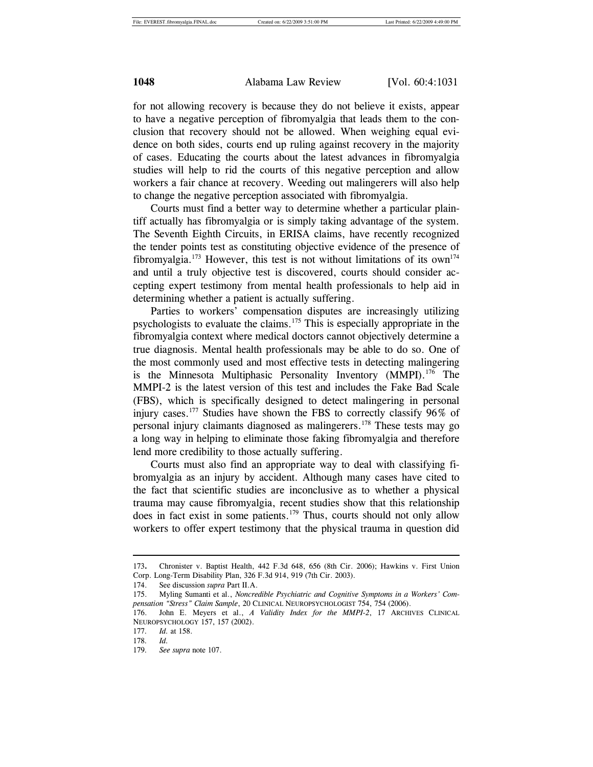for not allowing recovery is because they do not believe it exists, appear to have a negative perception of fibromyalgia that leads them to the conclusion that recovery should not be allowed. When weighing equal evidence on both sides, courts end up ruling against recovery in the majority of cases. Educating the courts about the latest advances in fibromyalgia studies will help to rid the courts of this negative perception and allow workers a fair chance at recovery. Weeding out malingerers will also help to change the negative perception associated with fibromyalgia.

Courts must find a better way to determine whether a particular plaintiff actually has fibromyalgia or is simply taking advantage of the system. The Seventh Eighth Circuits, in ERISA claims, have recently recognized the tender points test as constituting objective evidence of the presence of fibromyalgia.<sup>173</sup> However, this test is not without limitations of its own<sup>174</sup> and until a truly objective test is discovered, courts should consider accepting expert testimony from mental health professionals to help aid in determining whether a patient is actually suffering.

Parties to workers' compensation disputes are increasingly utilizing psychologists to evaluate the claims.175 This is especially appropriate in the fibromyalgia context where medical doctors cannot objectively determine a true diagnosis. Mental health professionals may be able to do so. One of the most commonly used and most effective tests in detecting malingering is the Minnesota Multiphasic Personality Inventory (MMPI).<sup>176</sup> The MMPI-2 is the latest version of this test and includes the Fake Bad Scale (FBS), which is specifically designed to detect malingering in personal injury cases.177 Studies have shown the FBS to correctly classify 96% of personal injury claimants diagnosed as malingerers.178 These tests may go a long way in helping to eliminate those faking fibromyalgia and therefore lend more credibility to those actually suffering.

Courts must also find an appropriate way to deal with classifying fibromyalgia as an injury by accident. Although many cases have cited to the fact that scientific studies are inconclusive as to whether a physical trauma may cause fibromyalgia, recent studies show that this relationship does in fact exist in some patients.<sup>179</sup> Thus, courts should not only allow workers to offer expert testimony that the physical trauma in question did

<sup>173</sup>**.** Chronister v. Baptist Health, 442 F.3d 648, 656 (8th Cir. 2006); Hawkins v. First Union Corp. Long-Term Disability Plan, 326 F.3d 914, 919 (7th Cir. 2003).

<sup>174.</sup> See discussion *supra* Part II.A.

<sup>175.</sup> Myling Sumanti et al., *Noncredible Psychiatric and Cognitive Symptoms in a Workers' Compensation "Stress" Claim Sample*, 20 CLINICAL NEUROPSYCHOLOGIST 754, 754 (2006).

<sup>176.</sup> John E. Meyers et al., *A Validity Index for the MMPI-2*, 17 ARCHIVES CLINICAL NEUROPSYCHOLOGY 157, 157 (2002).

<sup>177</sup>*. Id.* at 158.

<sup>178</sup>*. Id.*

<sup>179</sup>*. See supra* note 107.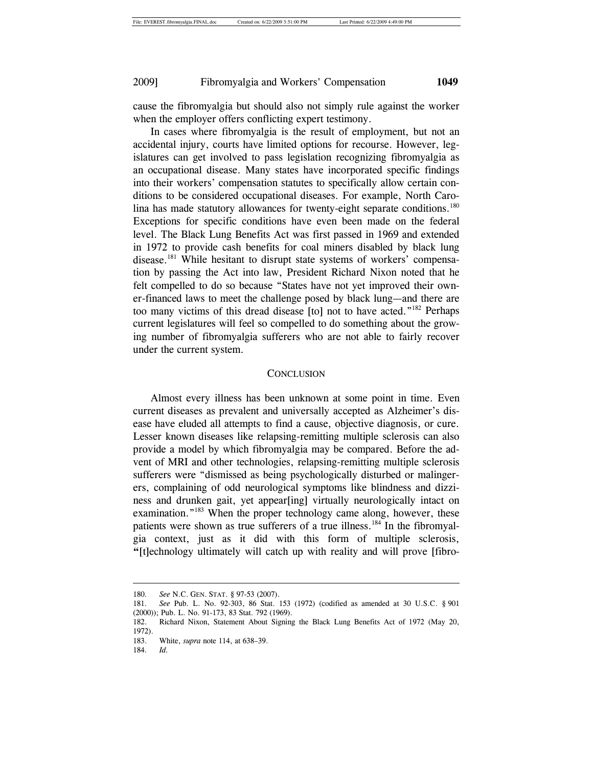cause the fibromyalgia but should also not simply rule against the worker when the employer offers conflicting expert testimony.

In cases where fibromyalgia is the result of employment, but not an accidental injury, courts have limited options for recourse. However, legislatures can get involved to pass legislation recognizing fibromyalgia as an occupational disease. Many states have incorporated specific findings into their workers' compensation statutes to specifically allow certain conditions to be considered occupational diseases. For example, North Carolina has made statutory allowances for twenty-eight separate conditions.<sup>180</sup> Exceptions for specific conditions have even been made on the federal level. The Black Lung Benefits Act was first passed in 1969 and extended in 1972 to provide cash benefits for coal miners disabled by black lung disease.<sup>181</sup> While hesitant to disrupt state systems of workers' compensation by passing the Act into law, President Richard Nixon noted that he felt compelled to do so because "States have not yet improved their owner-financed laws to meet the challenge posed by black lung—and there are too many victims of this dread disease [to] not to have acted."182 Perhaps current legislatures will feel so compelled to do something about the growing number of fibromyalgia sufferers who are not able to fairly recover under the current system.

#### **CONCLUSION**

Almost every illness has been unknown at some point in time. Even current diseases as prevalent and universally accepted as Alzheimer's disease have eluded all attempts to find a cause, objective diagnosis, or cure. Lesser known diseases like relapsing-remitting multiple sclerosis can also provide a model by which fibromyalgia may be compared. Before the advent of MRI and other technologies, relapsing-remitting multiple sclerosis sufferers were "dismissed as being psychologically disturbed or malingerers, complaining of odd neurological symptoms like blindness and dizziness and drunken gait, yet appear[ing] virtually neurologically intact on examination."<sup>183</sup> When the proper technology came along, however, these patients were shown as true sufferers of a true illness.<sup>184</sup> In the fibromyalgia context, just as it did with this form of multiple sclerosis, **"**[t]echnology ultimately will catch up with reality and will prove [fibro-

<sup>180</sup>*. See* N.C. GEN. STAT. § 97-53 (2007).

<sup>181</sup>*. See* Pub. L. No. 92-303, 86 Stat. 153 (1972) (codified as amended at 30 U.S.C. § 901 (2000)); Pub. L. No. 91-173, 83 Stat. 792 (1969).

<sup>182.</sup> Richard Nixon, Statement About Signing the Black Lung Benefits Act of 1972 (May 20, 1972).

<sup>183.</sup> White, *supra* note 114, at 638–39.

<sup>184</sup>*. Id.*